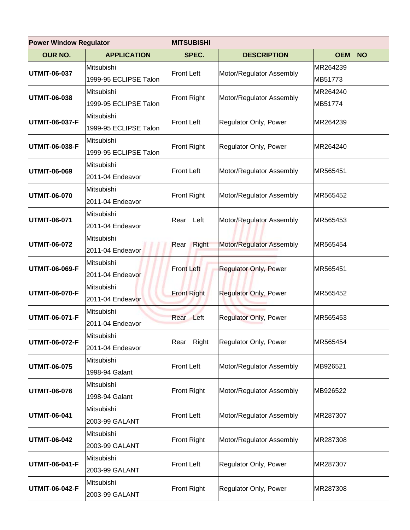| <b>Power Window Regulator</b> |                                     | <b>MITSUBISHI</b>  |                              |                         |  |
|-------------------------------|-------------------------------------|--------------------|------------------------------|-------------------------|--|
| <b>OUR NO.</b>                | <b>APPLICATION</b>                  | SPEC.              | <b>DESCRIPTION</b>           | <b>OEM</b><br><b>NO</b> |  |
| <b>UTMIT-06-037</b>           | Mitsubishi<br>1999-95 ECLIPSE Talon | <b>Front Left</b>  | Motor/Regulator Assembly     | MR264239<br>MB51773     |  |
| UTMIT-06-038                  | Mitsubishi<br>1999-95 ECLIPSE Talon | <b>Front Right</b> | Motor/Regulator Assembly     | MR264240<br>MB51774     |  |
| UTMIT-06-037-F                | Mitsubishi<br>1999-95 ECLIPSE Talon | <b>Front Left</b>  | Regulator Only, Power        | MR264239                |  |
| UTMIT-06-038-F                | Mitsubishi<br>1999-95 ECLIPSE Talon | <b>Front Right</b> | Regulator Only, Power        | MR264240                |  |
| UTMIT-06-069                  | Mitsubishi<br>2011-04 Endeavor      | Front Left         | Motor/Regulator Assembly     | MR565451                |  |
| UTMIT-06-070                  | Mitsubishi<br>2011-04 Endeavor      | Front Right        | Motor/Regulator Assembly     | MR565452                |  |
| UTMIT-06-071                  | Mitsubishi<br>2011-04 Endeavor      | Rear Left          | Motor/Regulator Assembly     | MR565453                |  |
| UTMIT-06-072                  | Mitsubishi<br>2011-04 Endeavor      | Right<br>Rear      | Motor/Regulator Assembly     | MR565454                |  |
| UTMIT-06-069-F                | Mitsubishi<br>2011-04 Endeavor      | <b>Front Left</b>  | <b>Regulator Only, Power</b> | MR565451                |  |
| UTMIT-06-070-F                | Mitsubishi<br>2011-04 Endeavor      | <b>Front Right</b> | <b>Regulator Only, Power</b> | MR565452                |  |
| UTMIT-06-071-F                | Mitsubishi<br>2011-04 Endeavor      | Rear Left          | <b>Regulator Only, Power</b> | MR565453                |  |
| UTMIT-06-072-F                | Mitsubishi<br>2011-04 Endeavor      | Rear Right         | Regulator Only, Power        | MR565454                |  |
| UTMIT-06-075                  | Mitsubishi<br>1998-94 Galant        | Front Left         | Motor/Regulator Assembly     | MB926521                |  |
| UTMIT-06-076                  | Mitsubishi<br>1998-94 Galant        | <b>Front Right</b> | Motor/Regulator Assembly     | MB926522                |  |
| UTMIT-06-041                  | Mitsubishi<br>2003-99 GALANT        | <b>Front Left</b>  | Motor/Regulator Assembly     | MR287307                |  |
| UTMIT-06-042                  | Mitsubishi<br>2003-99 GALANT        | Front Right        | Motor/Regulator Assembly     | MR287308                |  |
| UTMIT-06-041-F                | Mitsubishi<br>2003-99 GALANT        | Front Left         | Regulator Only, Power        | MR287307                |  |
| UTMIT-06-042-F                | Mitsubishi<br>2003-99 GALANT        | <b>Front Right</b> | Regulator Only, Power        | MR287308                |  |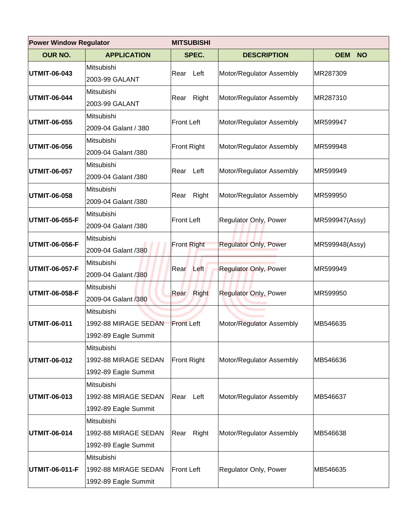| <b>Power Window Regulator</b> |                                                            | <b>MITSUBISHI</b>  |                              |                         |  |
|-------------------------------|------------------------------------------------------------|--------------------|------------------------------|-------------------------|--|
| <b>OUR NO.</b>                | <b>APPLICATION</b>                                         | SPEC.              | <b>DESCRIPTION</b>           | <b>OEM</b><br><b>NO</b> |  |
| UTMIT-06-043                  | Mitsubishi<br>2003-99 GALANT                               | Rear Left          | Motor/Regulator Assembly     | MR287309                |  |
| <b>UTMIT-06-044</b>           | Mitsubishi<br>2003-99 GALANT                               | Rear Right         | Motor/Regulator Assembly     | MR287310                |  |
| UTMIT-06-055                  | Mitsubishi<br>2009-04 Galant / 380                         | <b>Front Left</b>  | Motor/Regulator Assembly     | MR599947                |  |
| UTMIT-06-056                  | Mitsubishi<br>2009-04 Galant /380                          | Front Right        | Motor/Regulator Assembly     | MR599948                |  |
| UTMIT-06-057                  | Mitsubishi<br>2009-04 Galant /380                          | Rear Left          | Motor/Regulator Assembly     | MR599949                |  |
| <b>UTMIT-06-058</b>           | Mitsubishi<br>2009-04 Galant /380                          | Rear Right         | Motor/Regulator Assembly     | MR599950                |  |
| UTMIT-06-055-F                | Mitsubishi<br>2009-04 Galant /380                          | Front Left         | Regulator Only, Power        | MR599947(Assy)          |  |
| UTMIT-06-056-F                | Mitsubishi<br>2009-04 Galant /380                          | <b>Front Right</b> | <b>Regulator Only, Power</b> | MR599948(Assy)          |  |
| UTMIT-06-057-F                | Mitsubishi<br>2009-04 Galant /380                          | Rear Left          | <b>Regulator Only, Power</b> | MR599949                |  |
| UTMIT-06-058-F                | Mitsubishi<br>2009-04 Galant /380                          | Right<br>Rear      | <b>Regulator Only, Power</b> | MR599950                |  |
| UTMIT-06-011                  | Mitsubishi<br>1992-88 MIRAGE SEDAN<br>1992-89 Eagle Summit | <b>Front Left</b>  | Motor/Regulator Assembly     | MB546635                |  |
| <b>UTMIT-06-012</b>           | Mitsubishi<br>1992-88 MIRAGE SEDAN<br>1992-89 Eagle Summit | <b>Front Right</b> | Motor/Regulator Assembly     | MB546636                |  |
| UTMIT-06-013                  | Mitsubishi<br>1992-88 MIRAGE SEDAN<br>1992-89 Eagle Summit | Rear Left          | Motor/Regulator Assembly     | MB546637                |  |
| UTMIT-06-014                  | Mitsubishi<br>1992-88 MIRAGE SEDAN<br>1992-89 Eagle Summit | Rear Right         | Motor/Regulator Assembly     | MB546638                |  |
| UTMIT-06-011-F                | Mitsubishi<br>1992-88 MIRAGE SEDAN<br>1992-89 Eagle Summit | <b>Front Left</b>  | Regulator Only, Power        | MB546635                |  |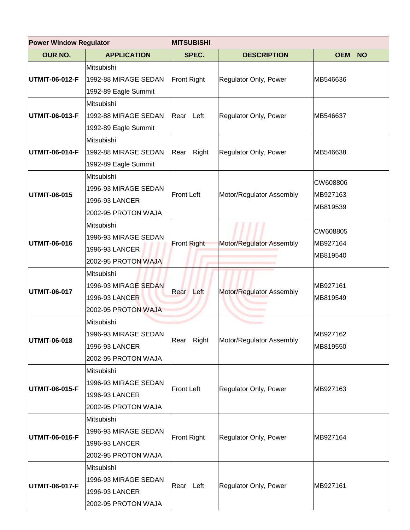| <b>Power Window Regulator</b> |                                                                                    | <b>MITSUBISHI</b>  |                              |                                  |  |
|-------------------------------|------------------------------------------------------------------------------------|--------------------|------------------------------|----------------------------------|--|
| <b>OUR NO.</b>                | <b>APPLICATION</b>                                                                 | SPEC.              | <b>DESCRIPTION</b>           | <b>OEM NO</b>                    |  |
| UTMIT-06-012-F                | Mitsubishi<br>1992-88 MIRAGE SEDAN<br>1992-89 Eagle Summit                         | <b>Front Right</b> | <b>Regulator Only, Power</b> | MB546636                         |  |
| UTMIT-06-013-F                | Mitsubishi<br>1992-88 MIRAGE SEDAN<br>1992-89 Eagle Summit                         | Rear Left          | Regulator Only, Power        | MB546637                         |  |
| UTMIT-06-014-F                | Mitsubishi<br>1992-88 MIRAGE SEDAN<br>1992-89 Eagle Summit                         | Right<br>Rear      | Regulator Only, Power        | MB546638                         |  |
| <b>UTMIT-06-015</b>           | Mitsubishi<br>1996-93 MIRAGE SEDAN<br>1996-93 LANCER<br>2002-95 PROTON WAJA        | <b>Front Left</b>  | Motor/Regulator Assembly     | CW608806<br>MB927163<br>MB819539 |  |
| UTMIT-06-016                  | Mitsubishi<br>1996-93 MIRAGE SEDAN<br>1996-93 LANCER<br>2002-95 PROTON WAJA        | <b>Front Right</b> | Motor/Regulator Assembly     | CW608805<br>MB927164<br>MB819540 |  |
| UTMIT-06-017                  | Mitsubishi<br>1996-93 MIRAGE SEDAN<br>1996-93 LANCER<br>2002-95 PROTON WAJA        | Rear Left          | Motor/Regulator Assembly     | MB927161<br>MB819549             |  |
| UTMIT-06-018                  | Mitsubishi<br>1996-93 MIRAGE SEDAN<br>1996-93 LANCER<br>2002-95 PROTON WAJA        | Rear Right         | Motor/Regulator Assembly     | MB927162<br>MB819550             |  |
| UTMIT-06-015-F                | <b>Mitsubishi</b><br>1996-93 MIRAGE SEDAN<br>1996-93 LANCER<br>2002-95 PROTON WAJA | <b>Front Left</b>  | Regulator Only, Power        | MB927163                         |  |
| <b>UTMIT-06-016-F</b>         | Mitsubishi<br>1996-93 MIRAGE SEDAN<br>1996-93 LANCER<br>2002-95 PROTON WAJA        | Front Right        | Regulator Only, Power        | MB927164                         |  |
| UTMIT-06-017-F                | Mitsubishi<br>1996-93 MIRAGE SEDAN<br>1996-93 LANCER<br>2002-95 PROTON WAJA        | Rear Left          | Regulator Only, Power        | MB927161                         |  |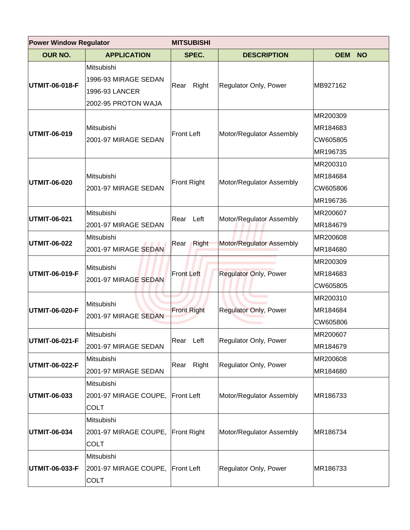| <b>Power Window Regulator</b> |                                                                             | <b>MITSUBISHI</b>    |                              |                                              |  |
|-------------------------------|-----------------------------------------------------------------------------|----------------------|------------------------------|----------------------------------------------|--|
| <b>OUR NO.</b>                | <b>APPLICATION</b>                                                          | SPEC.                | <b>DESCRIPTION</b>           | <b>OEM</b><br><b>NO</b>                      |  |
| UTMIT-06-018-F                | Mitsubishi<br>1996-93 MIRAGE SEDAN<br>1996-93 LANCER<br>2002-95 PROTON WAJA | Right<br>Rear        | Regulator Only, Power        | MB927162                                     |  |
| UTMIT-06-019                  | Mitsubishi<br>2001-97 MIRAGE SEDAN                                          | <b>Front Left</b>    | Motor/Regulator Assembly     | MR200309<br>MR184683<br>CW605805<br>MR196735 |  |
| <b>UTMIT-06-020</b>           | Mitsubishi<br>2001-97 MIRAGE SEDAN                                          | <b>Front Right</b>   | Motor/Regulator Assembly     | MR200310<br>MR184684<br>CW605806<br>MR196736 |  |
| UTMIT-06-021                  | Mitsubishi<br>2001-97 MIRAGE SEDAN                                          | Left<br>Rear         | Motor/Regulator Assembly     | MR200607<br>MR184679                         |  |
| UTMIT-06-022                  | Mitsubishi<br>2001-97 MIRAGE SEDAN                                          | <b>Right</b><br>Rear | Motor/Regulator Assembly     | MR200608<br>MR184680                         |  |
| UTMIT-06-019-F                | Mitsubishi<br>2001-97 MIRAGE SEDAN                                          | <b>Front Left</b>    | <b>Regulator Only, Power</b> | MR200309<br>MR184683<br>CW605805             |  |
| UTMIT-06-020-F                | Mitsubishi<br>2001-97 MIRAGE SEDAN                                          | <b>Front Right</b>   | <b>Regulator Only, Power</b> | MR200310<br>MR184684<br>CW605806             |  |
| UTMIT-06-021-F                | lMitsubishi<br>2001-97 MIRAGE SEDAN                                         | Rear Left            | Regulator Only, Power        | MR200607<br>MR184679                         |  |
| UTMIT-06-022-F                | Mitsubishi<br>2001-97 MIRAGE SEDAN                                          | Rear Right           | Regulator Only, Power        | MR200608<br>MR184680                         |  |
| UTMIT-06-033                  | Mitsubishi<br>2001-97 MIRAGE COUPE, Front Left<br><b>COLT</b>               |                      | Motor/Regulator Assembly     | MR186733                                     |  |
| <b>UTMIT-06-034</b>           | Mitsubishi<br>2001-97 MIRAGE COUPE, Front Right<br><b>COLT</b>              |                      | Motor/Regulator Assembly     | MR186734                                     |  |
| UTMIT-06-033-F                | Mitsubishi<br>2001-97 MIRAGE COUPE, Front Left<br><b>COLT</b>               |                      | Regulator Only, Power        | MR186733                                     |  |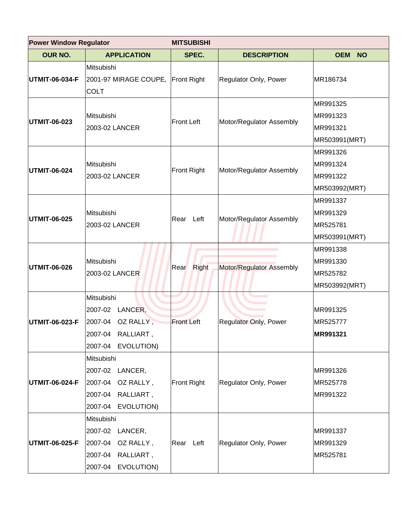| <b>Power Window Regulator</b> |                                                                                                        | <b>MITSUBISHI</b>  |                              |                                                   |
|-------------------------------|--------------------------------------------------------------------------------------------------------|--------------------|------------------------------|---------------------------------------------------|
| <b>OUR NO.</b>                | <b>APPLICATION</b>                                                                                     | SPEC.              | <b>DESCRIPTION</b>           | OEM NO                                            |
| <b>UTMIT-06-034-F</b>         | Mitsubishi<br>2001-97 MIRAGE COUPE, Front Right<br><b>COLT</b>                                         |                    | Regulator Only, Power        | MR186734                                          |
| <b>UTMIT-06-023</b>           | Mitsubishi<br>2003-02 LANCER                                                                           | <b>Front Left</b>  | Motor/Regulator Assembly     | MR991325<br>MR991323<br>MR991321<br>MR503991(MRT) |
| <b>UTMIT-06-024</b>           | Mitsubishi<br>2003-02 LANCER                                                                           | <b>Front Right</b> | Motor/Regulator Assembly     | MR991326<br>MR991324<br>MR991322<br>MR503992(MRT) |
| <b>UTMIT-06-025</b>           | Mitsubishi<br>2003-02 LANCER                                                                           | Rear<br>Left       | Motor/Regulator Assembly     | MR991337<br>MR991329<br>MR525781<br>MR503991(MRT) |
| <b>UTMIT-06-026</b>           | Mitsubishi<br>2003-02 LANCER                                                                           | Rear Right         | Motor/Regulator Assembly     | MR991338<br>MR991330<br>MR525782<br>MR503992(MRT) |
| <b>UTMIT-06-023-F</b>         | Mitsubishi<br>LANCER,<br>2007-02<br>OZ RALLY,<br>2007-04<br>2007-04<br>RALLIART,<br>2007-04 EVOLUTION) | <b>Front Left</b>  | <b>Regulator Only, Power</b> | MR991325<br>MR525777<br><b>MR991321</b>           |
| <b>UTMIT-06-024-F</b>         | Mitsubishi<br>2007-02 LANCER,<br>2007-04<br>OZ RALLY,<br>2007-04<br>RALLIART,<br>2007-04<br>EVOLUTION) | <b>Front Right</b> | Regulator Only, Power        | MR991326<br>MR525778<br>MR991322                  |
| <b>UTMIT-06-025-F</b>         | Mitsubishi<br>2007-02 LANCER,<br>2007-04<br>OZ RALLY,<br>2007-04<br>RALLIART,<br>2007-04<br>EVOLUTION) | Rear Left          | Regulator Only, Power        | MR991337<br>MR991329<br>MR525781                  |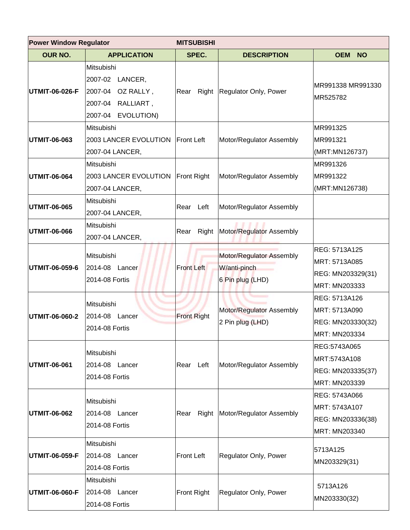| <b>Power Window Regulator</b> |                                                                                                        | <b>MITSUBISHI</b>  |                                                              |                                                                      |  |
|-------------------------------|--------------------------------------------------------------------------------------------------------|--------------------|--------------------------------------------------------------|----------------------------------------------------------------------|--|
| <b>OUR NO.</b>                | <b>APPLICATION</b>                                                                                     | SPEC.              | <b>DESCRIPTION</b>                                           | <b>OEM</b><br><b>NO</b>                                              |  |
| <b>UTMIT-06-026-F</b>         | Mitsubishi<br>2007-02<br>LANCER,<br>2007-04<br>OZ RALLY,<br>2007-04<br>RALLIART,<br>2007-04 EVOLUTION) | Rear               | Right Regulator Only, Power                                  | MR991338 MR991330<br>MR525782                                        |  |
| <b>UTMIT-06-063</b>           | Mitsubishi<br>2003 LANCER EVOLUTION   Front Left<br>2007-04 LANCER,                                    |                    | Motor/Regulator Assembly                                     | MR991325<br>MR991321<br>(MRT:MN126737)                               |  |
| <b>UTMIT-06-064</b>           | Mitsubishi<br>2003 LANCER EVOLUTION<br>2007-04 LANCER,                                                 | <b>Front Right</b> | Motor/Regulator Assembly                                     | MR991326<br>MR991322<br>(MRT:MN126738)                               |  |
| <b>UTMIT-06-065</b>           | Mitsubishi<br>2007-04 LANCER,                                                                          | Left<br>Rear       | Motor/Regulator Assembly                                     |                                                                      |  |
| UTMIT-06-066                  | Mitsubishi<br>2007-04 LANCER,                                                                          | Right<br>Rear      | Motor/Regulator Assembly                                     |                                                                      |  |
| UTMIT-06-059-6                | Mitsubishi<br>2014-08 Lancer<br>2014-08 Fortis                                                         | <b>Front Left</b>  | Motor/Regulator Assembly<br>W/anti-pinch<br>6 Pin plug (LHD) | REG: 5713A125<br>MRT: 5713A085<br>REG: MN203329(31)<br>MRT: MN203333 |  |
| UTMIT-06-060-2                | Mitsubishi<br>2014-08<br>Lancer<br>2014-08 Fortis                                                      | <b>Front Right</b> | Motor/Regulator Assembly<br>2 Pin plug (LHD)                 | REG: 5713A126<br>MRT: 5713A090<br>REG: MN203330(32)<br>MRT: MN203334 |  |
| UTMIT-06-061                  | Mitsubishi<br>2014-08 Lancer<br>2014-08 Fortis                                                         | Rear Left          | Motor/Regulator Assembly                                     | REG:5743A065<br>MRT:5743A108<br>REG: MN203335(37)<br>MRT: MN203339   |  |
| UTMIT-06-062                  | Mitsubishi<br>2014-08 Lancer<br>2014-08 Fortis                                                         | Right<br>Rear      | Motor/Regulator Assembly                                     | REG: 5743A066<br>MRT: 5743A107<br>REG: MN203336(38)<br>MRT: MN203340 |  |
| UTMIT-06-059-F                | Mitsubishi<br>2014-08 Lancer<br>2014-08 Fortis                                                         | <b>Front Left</b>  | Regulator Only, Power                                        | 5713A125<br>MN203329(31)                                             |  |
| UTMIT-06-060-F                | Mitsubishi<br>2014-08 Lancer<br>2014-08 Fortis                                                         | <b>Front Right</b> | Regulator Only, Power                                        | 5713A126<br>MN203330(32)                                             |  |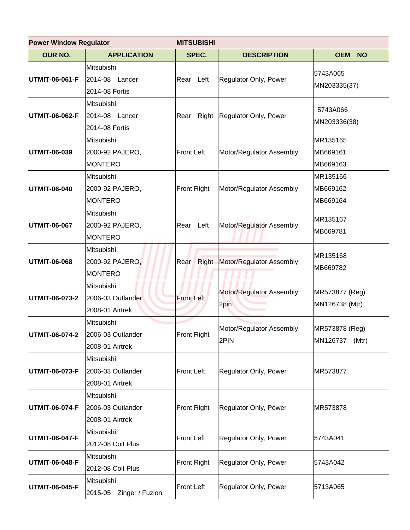| <b>Power Window Regulator</b> |                                                                          | <b>MITSUBISHI</b>  |                                  |                                     |  |
|-------------------------------|--------------------------------------------------------------------------|--------------------|----------------------------------|-------------------------------------|--|
| <b>OUR NO.</b>                | <b>APPLICATION</b>                                                       | SPEC.              | <b>DESCRIPTION</b>               | <b>OEM</b><br><b>NO</b>             |  |
| UTMIT-06-061-F                | Mitsubishi<br>2014-08<br>Lancer<br>2014-08 Fortis                        | Left<br>Rear       | Regulator Only, Power            | 5743A065<br>MN203335(37)            |  |
| UTMIT-06-062-F                | Mitsubishi<br>2014-08 Lancer<br>2014-08 Fortis                           | Rear               | Right Regulator Only, Power      | 5743A066<br>MN203336(38)            |  |
| UTMIT-06-039                  | Mitsubishi<br>2000-92 PAJERO,<br><b>MONTERO</b>                          | <b>Front Left</b>  | Motor/Regulator Assembly         | MR135165<br>MB669161<br>MB669163    |  |
| UTMIT-06-040                  | Mitsubishi<br>2000-92 PAJERO,<br><b>MONTERO</b>                          | <b>Front Right</b> | Motor/Regulator Assembly         | MR135166<br>MB669162<br>MB669164    |  |
| <b>UTMIT-06-067</b>           | Mitsubishi<br>2000-92 PAJERO,<br><b>MONTERO</b>                          | Left<br>Rear       | Motor/Regulator Assembly         | MR135167<br>MB669781                |  |
| UTMIT-06-068                  | Mitsubishi<br>2000-92 PAJERO,<br><b>MONTERO</b>                          | Rear               | Right Motor/Regulator Assembly   | MR135168<br>MB669782                |  |
| UTMIT-06-073-2                | Mitsubishi<br>2006-03 Outlander<br>2008-01 Airtrek                       | <b>Front Left</b>  | Motor/Regulator Assembly<br>2pin | MR573877 (Reg)<br>MN126738 (Mtr)    |  |
|                               | Mitsubishi<br><b>UTMIT-06-074-2</b> 2006-03 Outlander<br>2008-01 Airtrek | Front Right        | Motor/Regulator Assembly<br>2PIN | MR573878 (Reg)<br>MN126737<br>(Mtr) |  |
| UTMIT-06-073-F                | Mitsubishi<br>2006-03 Outlander<br>2008-01 Airtrek                       | <b>Front Left</b>  | Regulator Only, Power            | MR573877                            |  |
| UTMIT-06-074-F                | Mitsubishi<br>2006-03 Outlander<br>2008-01 Airtrek                       | <b>Front Right</b> | Regulator Only, Power            | MR573878                            |  |
| UTMIT-06-047-F                | Mitsubishi<br>2012-08 Colt Plus                                          | <b>Front Left</b>  | Regulator Only, Power            | 5743A041                            |  |
| UTMIT-06-048-F                | Mitsubishi<br>2012-08 Colt Plus                                          | <b>Front Right</b> | Regulator Only, Power            | 5743A042                            |  |
| UTMIT-06-045-F                | Mitsubishi<br>Zinger / Fuzion<br>2015-05                                 | <b>Front Left</b>  | Regulator Only, Power            | 5713A065                            |  |